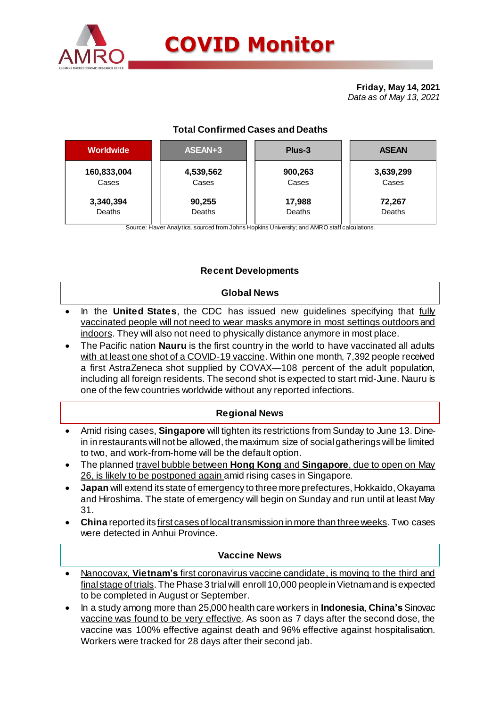

# **COVID Monitor**

**Friday, May 14, 2021** *Data as of May 13, 2021*

# **Total Confirmed Cases and Deaths**

| <b>Worldwide</b> | ASEAN+3   | Plus-3  | <b>ASEAN</b> |  |  |
|------------------|-----------|---------|--------------|--|--|
| 160,833,004      | 4,539,562 | 900,263 | 3,639,299    |  |  |
| Cases            | Cases     | Cases   | Cases        |  |  |
| 3,340,394        | 90,255    | 17,988  | 72,267       |  |  |
| Deaths           | Deaths    | Deaths  | Deaths       |  |  |
|                  |           |         |              |  |  |

Source: Haver Analytics, sourced from Johns Hopkins University; and AMRO staff calculations.

# **Recent Developments**

#### **Global News**

- In the **United States**, the CDC has issued new guidelines specifying that fully vaccinated people will not need to wear masks anymore in most settings outdoors and indoors. They will also not need to physically distance anymore in most place.
- The Pacific nation **Nauru** is the first country in the world to have vaccinated all adults with at least one shot of a COVID-19 vaccine. Within one month, 7,392 people received a first AstraZeneca shot supplied by COVAX—108 percent of the adult population, including all foreign residents. The second shot is expected to start mid-June. Nauru is one of the few countries worldwide without any reported infections.

## **Regional News**

- Amid rising cases, **Singapore** will tighten its restrictions from Sunday to June 13. Dinein in restaurants will not be allowed, the maximum size of social gatherings will be limited to two, and work-from-home will be the default option.
- The planned travel bubble between **Hong Kong** and **Singapore**, due to open on May 26, is likely to be postponed again amid rising cases in Singapore.
- **Japan** will extend its state of emergency to three more prefectures, Hokkaido, Okayama and Hiroshima. The state of emergency will begin on Sunday and run until at least May 31.
- **China** reported its first cases of local transmission in more than three weeks. Two cases were detected in Anhui Province.

## **Vaccine News**

- Nanocovax, **Vietnam's** first coronavirus vaccine candidate, is moving to the third and final stage of trials. The Phase 3 trial will enroll 10,000 peoplein Vietnam and is expected to be completed in August or September.
- In a study among more than 25,000 health care workers in **Indonesia**, **China's**Sinovac vaccine was found to be very effective. As soon as 7 days after the second dose, the vaccine was 100% effective against death and 96% effective against hospitalisation. Workers were tracked for 28 days after their second jab.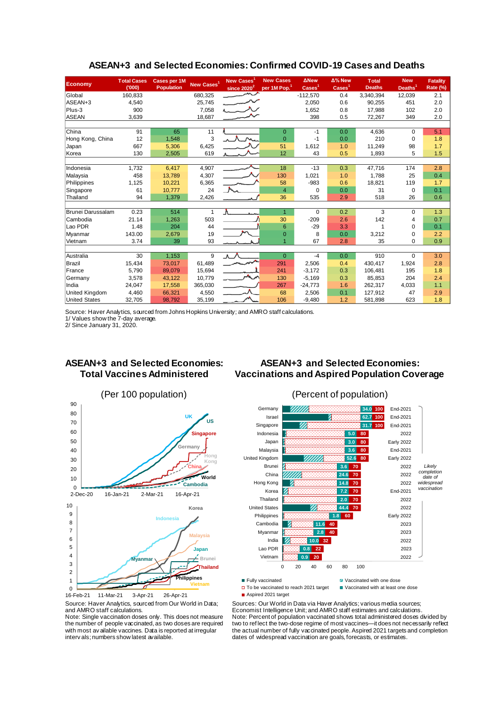| Economy               | <b>Total Cases</b><br>(000) | <b>Cases per 1M</b><br><b>Population</b> | New Cases <sup>1</sup> | New Cases <sup>1</sup><br>since $2020^2$ | <b>New Cases</b><br>per 1M Pop. <sup>1</sup> | <b>ANew</b><br>$\text{Case}$ <sup>1</sup> | Δ% New<br>$\text{Case}$ <sup>1</sup> | <b>Total</b><br><b>Deaths</b> | <b>New</b><br>Deaths <sup>1</sup> | <b>Fatality</b><br>Rate (%) |
|-----------------------|-----------------------------|------------------------------------------|------------------------|------------------------------------------|----------------------------------------------|-------------------------------------------|--------------------------------------|-------------------------------|-----------------------------------|-----------------------------|
| Global                | 160,833                     |                                          | 680,325                |                                          |                                              | $-112,570$                                | 0.4                                  | 3,340,394                     | 12,039                            | 2.1                         |
| ASEAN+3               | 4,540                       |                                          | 25,745                 |                                          |                                              | 2,050                                     | 0.6                                  | 90,255                        | 451                               | 2.0                         |
| Plus-3                | 900                         |                                          | 7,058                  |                                          |                                              | 1.652                                     | 0.8                                  | 17.988                        | 102                               | 2.0                         |
| <b>ASEAN</b>          | 3,639                       |                                          | 18,687                 |                                          |                                              | 398                                       | 0.5                                  | 72,267                        | 349                               | 2.0                         |
|                       |                             |                                          |                        |                                          |                                              |                                           |                                      |                               |                                   |                             |
| China                 | 91                          | 65                                       | 11                     |                                          | $\Omega$                                     | $-1$                                      | 0.0                                  | 4,636                         | $\Omega$                          | 5.1                         |
| Hong Kong, China      | 12                          | 1,548                                    | 3                      |                                          | $\Omega$                                     | $-1$                                      | 0.0                                  | 210                           | $\mathbf 0$                       | 1.8                         |
| Japan                 | 667                         | 5.306                                    | 6,425                  |                                          | 51                                           | 1.612                                     | 1.0                                  | 11.249                        | 98                                | 1.7                         |
| Korea                 | 130                         | 2,505                                    | 619                    |                                          | 12                                           | 43                                        | 0.5                                  | 1,893                         | 5                                 | 1.5                         |
|                       |                             |                                          |                        |                                          |                                              |                                           |                                      |                               |                                   |                             |
| Indonesia             | 1,732                       | 6,417                                    | 4,907                  |                                          | 18                                           | $-13$                                     | 0.3                                  | 47,716                        | 174                               | 2.8                         |
| Malaysia              | 458                         | 13,789                                   | 4,307                  |                                          | 130                                          | 1,021                                     | 1.0                                  | 1.788                         | 25                                | 0.4                         |
| Philippines           | 1,125                       | 10,221                                   | 6,365                  |                                          | 58                                           | $-983$                                    | 0.6                                  | 18,821                        | 119                               | 1.7                         |
| Singapore             | 61                          | 10.777                                   | 24                     |                                          | $\overline{4}$                               | $\Omega$                                  | 0.0                                  | 31                            | $\Omega$                          | 0.1                         |
| Thailand              | 94                          | 1,379                                    | 2,426                  |                                          | 36                                           | 535                                       | 2.9                                  | 518                           | 26                                | 0.6                         |
|                       |                             |                                          |                        |                                          |                                              |                                           |                                      |                               |                                   |                             |
| Brunei Darussalam     | 0.23                        | 514                                      | 1                      | Λ.                                       | 1                                            | $\Omega$                                  | 0.2                                  | 3                             | $\Omega$                          | 1.3                         |
| Cambodia              | 21.14                       | 1,263                                    | 503                    |                                          | 30                                           | $-209$                                    | 2.6                                  | 142                           | 4                                 | 0.7                         |
| Lao PDR               | 1.48                        | 204                                      | 44                     |                                          | 6                                            | $-29$                                     | 3.3                                  |                               | $\Omega$                          | 0.1                         |
| Myanmar               | 143.00                      | 2,679                                    | 19                     |                                          | $\mathbf 0$                                  | 8                                         | 0.0                                  | 3,212                         | $\Omega$                          | 2.2                         |
| Vietnam               | 3.74                        | 39                                       | 93                     |                                          |                                              | 67                                        | 2.8                                  | 35                            | $\mathbf 0$                       | 0.9                         |
| Australia             | 30                          | 1,153                                    | 9                      | ⋏ 八                                      | $\Omega$                                     | $-4$                                      | 0.0                                  | 910                           | $\Omega$                          | 3.0                         |
| <b>Brazil</b>         | 15,434                      | 73,017                                   | 61,489                 |                                          | 291                                          | 2,506                                     | 0.4                                  | 430,417                       | 1,924                             | 2.8                         |
| France                | 5,790                       | 89.079                                   | 15,694                 |                                          | 241                                          | $-3,172$                                  | 0.3                                  | 106.481                       | 195                               | 1.8                         |
| Germany               | 3,578                       | 43.122                                   | 10.779                 | <b>ALC</b>                               | 130                                          | $-5,169$                                  | 0.3                                  | 85.853                        | 204                               | 2.4                         |
| India                 | 24,047                      | 17,558                                   | 365,030                |                                          | 267                                          | $-24,773$                                 | 1.6                                  | 262,317                       | 4,033                             | 1.1                         |
| <b>United Kingdom</b> | 4,460                       | 66,321                                   | 4,550                  |                                          | 68                                           | 2,506                                     | 0.1                                  | 127,912                       | 47                                | 2.9                         |
| <b>United States</b>  | 32,705                      | 98,792                                   | 35,199                 |                                          | 106                                          | $-9,480$                                  | 1.2                                  | 581.898                       | 623                               | 1.8                         |
|                       |                             |                                          |                        |                                          |                                              |                                           |                                      |                               |                                   |                             |

#### **ASEAN+3 and Selected Economies: Confirmed COVID-19 Cases and Deaths**

Source: Haver Analytics, sourced from Johns Hopkins University; and AMRO staff calculations.

1/ Values show the 7-day average.

2/ Since January 31, 2020.

## **ASEAN+3 and Selected Economies: Total Vaccines Administered**

# **ASEAN+3 and Selected Economies: Vaccinations and Aspired Population Coverage**





Note: Single vaccination doses only. This does not measure the number of people vaccinated, as two doses are required with most av ailable vaccines. Data is reported at irregular interv als; numbers show latest available.

#### (Per 100 population) (Percent of population)



□ To be vaccinated to reach 2021 target ■ Vaccinated with at least one dose

Aspired 2021 target

Sources: Our World in Data via Haver Analytics; various media sources; Economist Intelligence Unit; and AMRO staff estimates and calculations. Note: Percent of population vaccinated shows total administered doses divided by two to ref lect the two-dose regime of most vaccines—it does not necessarily reflect the actual number of fully vaccinated people. Aspired 2021 targets and completion dates of widespread vaccination are goals, forecasts, or estimates.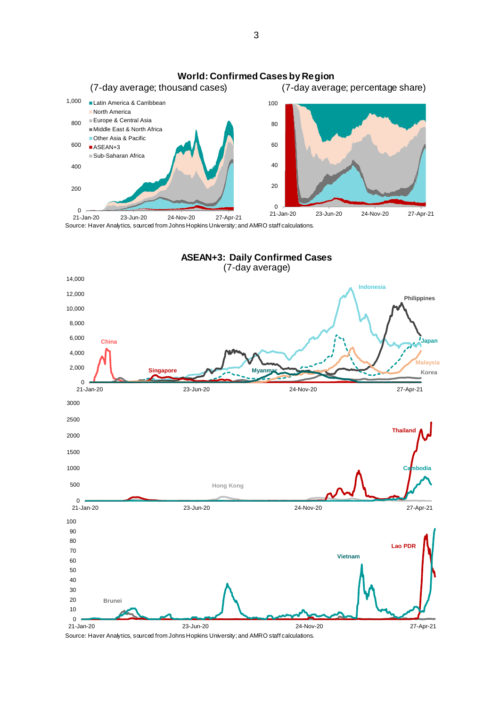

Source: Haver Analytics, sourced from Johns Hopkins University; and AMRO staff calculations.



Source: Haver Analytics, sourced from Johns Hopkins University; and AMRO staff calculations.